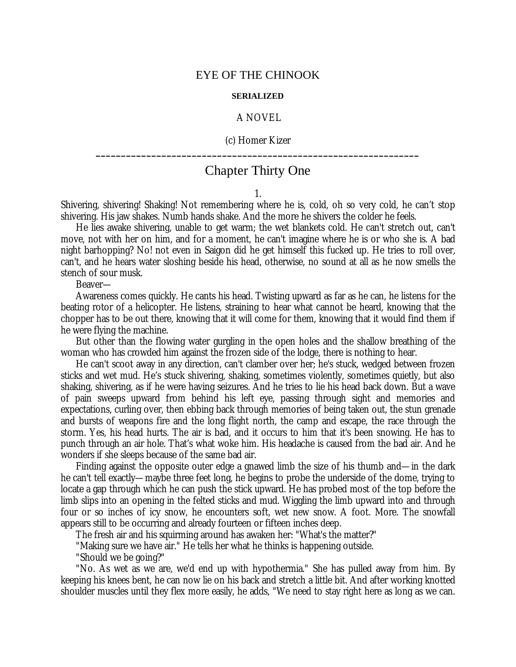## EYE OF THE CHINOOK

## **SERIALIZED**

## A NOVEL

(c) Homer Kizer **\_\_\_\_\_\_\_\_\_\_\_\_\_\_\_\_\_\_\_\_\_\_\_\_\_\_\_\_\_\_\_\_\_\_\_\_\_\_\_\_\_\_\_\_\_\_\_\_\_\_\_\_\_\_\_\_\_\_\_\_\_\_\_\_**

## Chapter Thirty One

1.

Shivering, shivering! Shaking! Not remembering where he is, cold, oh so very cold, he can't stop shivering. His jaw shakes. Numb hands shake. And the more he shivers the colder he feels.

He lies awake shivering, unable to get warm; the wet blankets cold. He can't stretch out, can't move, not with her on him, and for a moment, he can't imagine where he is or who she is. A bad night barhopping? No! not even in Saigon did he get himself this fucked up. He tries to roll over, can't, and he hears water sloshing beside his head, otherwise, no sound at all as he now smells the stench of sour musk.

Beaver—

Awareness comes quickly. He cants his head. Twisting upward as far as he can, he listens for the beating rotor of a helicopter. He listens, straining to hear what cannot be heard, knowing that the chopper has to be out there, knowing that it will come for them, knowing that it would find them if he were flying the machine.

But other than the flowing water gurgling in the open holes and the shallow breathing of the woman who has crowded him against the frozen side of the lodge, there is nothing to hear.

He can't scoot away in any direction, can't clamber over her; he's stuck, wedged between frozen sticks and wet mud. He's stuck shivering, shaking, sometimes violently, sometimes quietly, but also shaking, shivering, as if he were having seizures. And he tries to lie his head back down. But a wave of pain sweeps upward from behind his left eye, passing through sight and memories and expectations, curling over, then ebbing back through memories of being taken out, the stun grenade and bursts of weapons fire and the long flight north, the camp and escape, the race through the storm. Yes, his head hurts. The air is bad, and it occurs to him that it's been snowing. He has to punch through an air hole. That's what woke him. His headache is caused from the bad air. And he wonders if she sleeps because of the same bad air.

Finding against the opposite outer edge a gnawed limb the size of his thumb and— in the dark he can't tell exactly— maybe three feet long, he begins to probe the underside of the dome, trying to locate a gap through which he can push the stick upward. He has probed most of the top before the limb slips into an opening in the felted sticks and mud. Wiggling the limb upward into and through four or so inches of icy snow, he encounters soft, wet new snow. A foot. More. The snowfall appears still to be occurring and already fourteen or fifteen inches deep.

The fresh air and his squirming around has awaken her: "What's the matter?"

"Making sure we have air." He tells her what he thinks is happening outside.

"Should we be going?"

"No. As wet as we are, we'd end up with hypothermia." She has pulled away from him. By keeping his knees bent, he can now lie on his back and stretch a little bit. And after working knotted shoulder muscles until they flex more easily, he adds, "We need to stay right here as long as we can.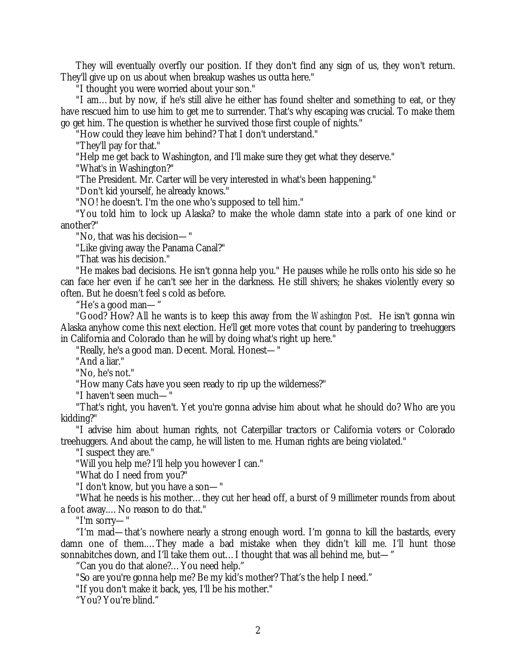They will eventually overfly our position. If they don't find any sign of us, they won't return. They'll give up on us about when breakup washes us outta here."

"I thought you were worried about your son."

"I am… but by now, if he's still alive he either has found shelter and something to eat, or they have rescued him to use him to get me to surrender. That's why escaping was crucial. To make them go get him. The question is whether he survived those first couple of nights."

"How could they leave him behind? That I don't understand."

"They'll pay for that."

"Help me get back to Washington, and I'll make sure they get what they deserve."

"What's in Washington?"

"The President. Mr. Carter will be very interested in what's been happening."

"Don't kid yourself, he already knows."

"NO! he doesn't. I'm the one who's supposed to tell him."

"You told him to lock up Alaska? to make the whole damn state into a park of one kind or another?"

"No, that was his decision— "

"Like giving away the Panama Canal?"

"That was his decision."

"He makes bad decisions. He isn't gonna help you." He pauses while he rolls onto his side so he can face her even if he can't see her in the darkness. He still shivers; he shakes violently every so often. But he doesn't feel s cold as before.

"He's a good man— "

"Good? How? All he wants is to keep this away from the *Washington Post*. He isn't gonna win Alaska anyhow come this next election. He'll get more votes that count by pandering to treehuggers in California and Colorado than he will by doing what's right up here."

"Really, he's a good man. Decent. Moral. Honest— "

"And a liar."

"No, he's not."

"How many Cats have you seen ready to rip up the wilderness?"

"I haven't seen much— "

"That's right, you haven't. Yet you're gonna advise him about what he should do? Who are you kidding?"

"I advise him about human rights, not Caterpillar tractors or California voters or Colorado treehuggers. And about the camp, he will listen to me. Human rights are being violated."

"I suspect they are."

"Will you help me? I'll help you however I can."

"What do I need from you?"

"I don't know, but you have a son— "

"What he needs is his mother… they cut her head off, a burst of 9 millimeter rounds from about a foot away.… No reason to do that."

"I'm sorry— "

"I'm mad— that's nowhere nearly a strong enough word. I'm gonna to kill the bastards, every damn one of them.… They made a bad mistake when they didn't kill me. I'll hunt those sonnabitches down, and I'll take them out… I thought that was all behind me, but— "

"Can you do that alone?… You need help."

"So are you're gonna help me? Be my kid's mother? That's the help I need."

"If you don't make it back, yes, I'll be his mother."

"You? You're blind."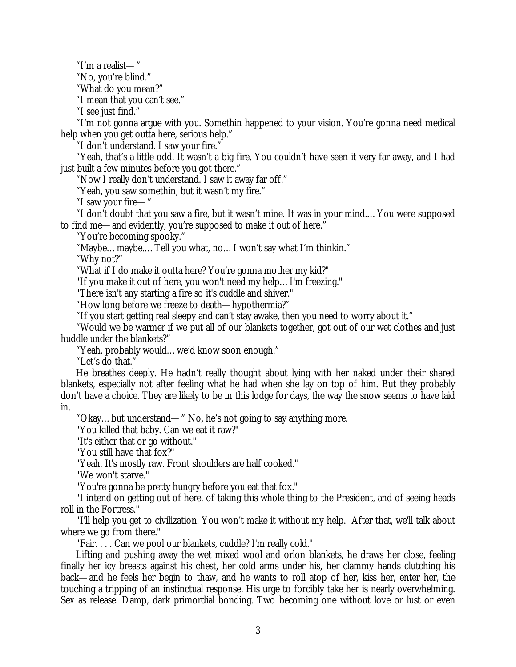"I'm a realist— "

"No, you're blind."

"What do you mean?"

"I mean that you can't see."

"I see just find."

"I'm not gonna argue with you. Somethin happened to your vision. You're gonna need medical help when you get outta here, serious help."

"I don't understand. I saw your fire."

"Yeah, that's a little odd. It wasn't a big fire. You couldn't have seen it very far away, and I had just built a few minutes before you got there."

"Now I really don't understand. I saw it away far off."

"Yeah, you saw somethin, but it wasn't my fire."

"I saw your fire— "

"I don't doubt that you saw a fire, but it wasn't mine. It was in your mind.… You were supposed to find me— and evidently, you're supposed to make it out of here."

"You're becoming spooky."

"Maybe… maybe.… Tell you what, no… I won't say what I'm thinkin."

"Why not?"

"What if I do make it outta here? You're gonna mother my kid?"

"If you make it out of here, you won't need my help… I'm freezing."

"There isn't any starting a fire so it's cuddle and shiver."

"How long before we freeze to death— hypothermia?"

"If you start getting real sleepy and can't stay awake, then you need to worry about it."

"Would we be warmer if we put all of our blankets together, got out of our wet clothes and just huddle under the blankets?"

"Yeah, probably would… we'd know soon enough."

"Let's do that."

He breathes deeply. He hadn't really thought about lying with her naked under their shared blankets, especially not after feeling what he had when she lay on top of him. But they probably don't have a choice. They are likely to be in this lodge for days, the way the snow seems to have laid in.

"Okay… but understand— " No, he's not going to say anything more.

"You killed that baby. Can we eat it raw?"

"It's either that or go without."

"You still have that fox?"

"Yeah. It's mostly raw. Front shoulders are half cooked."

"We won't starve."

"You're gonna be pretty hungry before you eat that fox."

"I intend on getting out of here, of taking this whole thing to the President, and of seeing heads roll in the Fortress."

"I'll help you get to civilization. You won't make it without my help. After that, we'll talk about where we go from there."

"Fair. . . . Can we pool our blankets, cuddle? I'm really cold."

Lifting and pushing away the wet mixed wool and orlon blankets, he draws her close, feeling finally her icy breasts against his chest, her cold arms under his, her clammy hands clutching his back— and he feels her begin to thaw, and he wants to roll atop of her, kiss her, enter her, the touching a tripping of an instinctual response. His urge to forcibly take her is nearly overwhelming. Sex as release. Damp, dark primordial bonding. Two becoming one without love or lust or even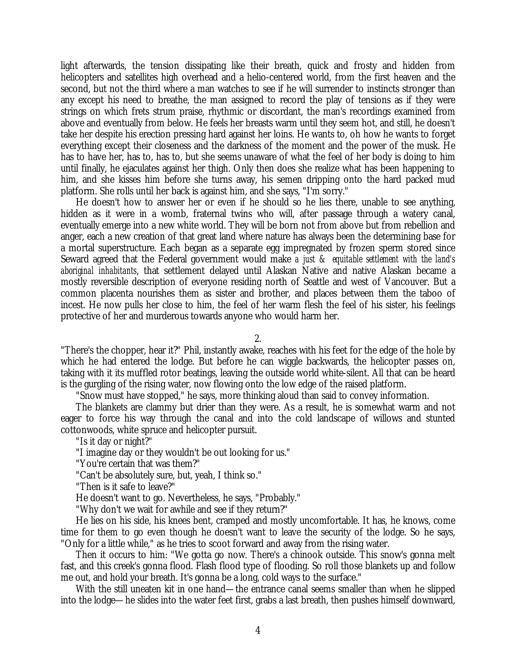light afterwards, the tension dissipating like their breath, quick and frosty and hidden from helicopters and satellites high overhead and a helio-centered world, from the first heaven and the second, but not the third where a man watches to see if he will surrender to instincts stronger than any except his need to breathe, the man assigned to record the play of tensions as if they were strings on which frets strum praise, rhythmic or discordant, the man's recordings examined from above and eventually from below. He feels her breasts warm until they seem hot, and still, he doesn't take her despite his erection pressing hard against her loins. He wants to, oh how he wants to forget everything except their closeness and the darkness of the moment and the power of the musk. He has to have her, has to, has to, but she seems unaware of what the feel of her body is doing to him until finally, he ejaculates against her thigh. Only then does she realize what has been happening to him, and she kisses him before she turns away, his semen dripping onto the hard packed mud platform. She rolls until her back is against him, and she says, "I'm sorry."

He doesn't how to answer her or even if he should so he lies there, unable to see anything, hidden as it were in a womb, fraternal twins who will, after passage through a watery canal, eventually emerge into a new white world. They will be born not from above but from rebellion and anger, each a new creation of that great land where nature has always been the determining base for a mortal superstructure. Each began as a separate egg impregnated by frozen sperm stored since Seward agreed that the Federal government would make *a just & equitable settlement with the land's aboriginal inhabitants*, that settlement delayed until Alaskan Native and native Alaskan became a mostly reversible description of everyone residing north of Seattle and west of Vancouver. But a common placenta nourishes them as sister and brother, and places between them the taboo of incest. He now pulls her close to him, the feel of her warm flesh the feel of his sister, his feelings protective of her and murderous towards anyone who would harm her.

2.

"There's the chopper, hear it?" Phil, instantly awake, reaches with his feet for the edge of the hole by which he had entered the lodge. But before he can wiggle backwards, the helicopter passes on, taking with it its muffled rotor beatings, leaving the outside world white-silent. All that can be heard is the gurgling of the rising water, now flowing onto the low edge of the raised platform.

"Snow must have stopped," he says, more thinking aloud than said to convey information.

The blankets are clammy but drier than they were. As a result, he is somewhat warm and not eager to force his way through the canal and into the cold landscape of willows and stunted cottonwoods, white spruce and helicopter pursuit.

"Is it day or night?"

"I imagine day or they wouldn't be out looking for us."

"You're certain that was them?"

"Can't be absolutely sure, but, yeah, I think so."

"Then is it safe to leave?"

He doesn't want to go. Nevertheless, he says, "Probably."

"Why don't we wait for awhile and see if they return?"

He lies on his side, his knees bent, cramped and mostly uncomfortable. It has, he knows, come time for them to go even though he doesn't want to leave the security of the lodge. So he says, "Only for a little while," as he tries to scoot forward and away from the rising water.

Then it occurs to him: "We gotta go now. There's a chinook outside. This snow's gonna melt fast, and this creek's gonna flood. Flash flood type of flooding. So roll those blankets up and follow me out, and hold your breath. It's gonna be a long, cold ways to the surface."

With the still uneaten kit in one hand— the entrance canal seems smaller than when he slipped into the lodge— he slides into the water feet first, grabs a last breath, then pushes himself downward,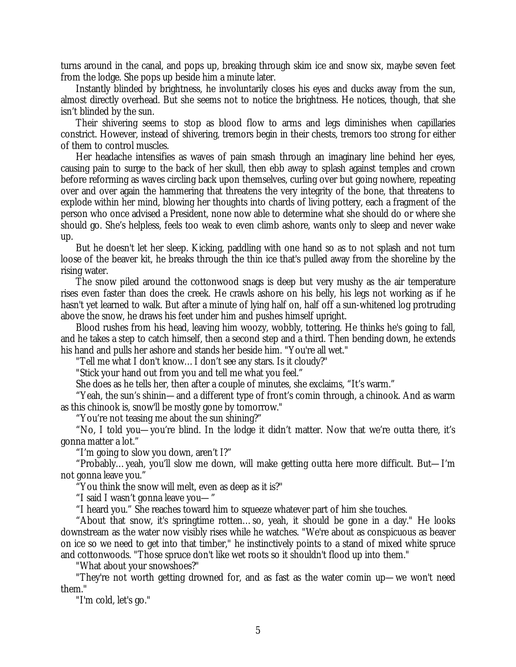turns around in the canal, and pops up, breaking through skim ice and snow six, maybe seven feet from the lodge. She pops up beside him a minute later.

Instantly blinded by brightness, he involuntarily closes his eyes and ducks away from the sun, almost directly overhead. But she seems not to notice the brightness. He notices, though, that she isn't blinded by the sun.

Their shivering seems to stop as blood flow to arms and legs diminishes when capillaries constrict. However, instead of shivering, tremors begin in their chests, tremors too strong for either of them to control muscles.

Her headache intensifies as waves of pain smash through an imaginary line behind her eyes, causing pain to surge to the back of her skull, then ebb away to splash against temples and crown before reforming as waves circling back upon themselves, curling over but going nowhere, repeating over and over again the hammering that threatens the very integrity of the bone, that threatens to explode within her mind, blowing her thoughts into chards of living pottery, each a fragment of the person who once advised a President, none now able to determine what she should do or where she should go. She's helpless, feels too weak to even climb ashore, wants only to sleep and never wake up.

But he doesn't let her sleep. Kicking, paddling with one hand so as to not splash and not turn loose of the beaver kit, he breaks through the thin ice that's pulled away from the shoreline by the rising water.

The snow piled around the cottonwood snags is deep but very mushy as the air temperature rises even faster than does the creek. He crawls ashore on his belly, his legs not working as if he hasn't yet learned to walk. But after a minute of lying half on, half off a sun-whitened log protruding above the snow, he draws his feet under him and pushes himself upright.

Blood rushes from his head, leaving him woozy, wobbly, tottering. He thinks he's going to fall, and he takes a step to catch himself, then a second step and a third. Then bending down, he extends his hand and pulls her ashore and stands her beside him. "You're all wet."

"Tell me what I don't know… I don't see any stars. Is it cloudy?"

"Stick your hand out from you and tell me what you feel."

She does as he tells her, then after a couple of minutes, she exclaims, "It's warm."

"Yeah, the sun's shinin— and a different type of front's comin through, a chinook. And as warm as this chinook is, snow'll be mostly gone by tomorrow."

"You're not teasing me about the sun shining?"

"No, I told you— you're blind. In the lodge it didn't matter. Now that we're outta there, it's gonna matter a lot."

"I'm going to slow you down, aren't I?"

"Probably… yeah, you'll slow me down, will make getting outta here more difficult. But— I'm not gonna leave you."

"You think the snow will melt, even as deep as it is?"

"I said I wasn't gonna leave you— "

"I heard you." She reaches toward him to squeeze whatever part of him she touches.

"About that snow, it's springtime rotten… so, yeah, it should be gone in a day." He looks downstream as the water now visibly rises while he watches. "We're about as conspicuous as beaver on ice so we need to get into that timber," he instinctively points to a stand of mixed white spruce and cottonwoods. "Those spruce don't like wet roots so it shouldn't flood up into them."

"What about your snowshoes?"

"They're not worth getting drowned for, and as fast as the water comin up— we won't need them."

"I'm cold, let's go."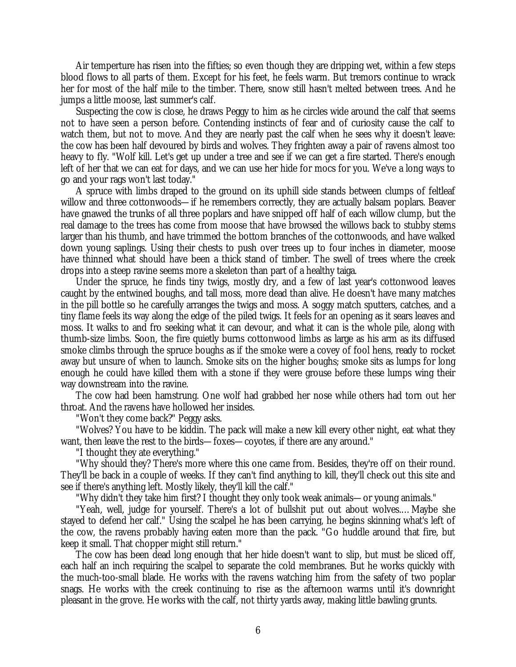Air temperture has risen into the fifties; so even though they are dripping wet, within a few steps blood flows to all parts of them. Except for his feet, he feels warm. But tremors continue to wrack her for most of the half mile to the timber. There, snow still hasn't melted between trees. And he jumps a little moose, last summer's calf.

Suspecting the cow is close, he draws Peggy to him as he circles wide around the calf that seems not to have seen a person before. Contending instincts of fear and of curiosity cause the calf to watch them, but not to move. And they are nearly past the calf when he sees why it doesn't leave: the cow has been half devoured by birds and wolves. They frighten away a pair of ravens almost too heavy to fly. "Wolf kill. Let's get up under a tree and see if we can get a fire started. There's enough left of her that we can eat for days, and we can use her hide for mocs for you. We've a long ways to go and your rags won't last today."

A spruce with limbs draped to the ground on its uphill side stands between clumps of feltleaf willow and three cottonwoods— if he remembers correctly, they are actually balsam poplars. Beaver have gnawed the trunks of all three poplars and have snipped off half of each willow clump, but the real damage to the trees has come from moose that have browsed the willows back to stubby stems larger than his thumb, and have trimmed the bottom branches of the cottonwoods, and have walked down young saplings. Using their chests to push over trees up to four inches in diameter, moose have thinned what should have been a thick stand of timber. The swell of trees where the creek drops into a steep ravine seems more a skeleton than part of a healthy taiga.

Under the spruce, he finds tiny twigs, mostly dry, and a few of last year's cottonwood leaves caught by the entwined boughs, and tall moss, more dead than alive. He doesn't have many matches in the pill bottle so he carefully arranges the twigs and moss. A soggy match sputters, catches, and a tiny flame feels its way along the edge of the piled twigs. It feels for an opening as it sears leaves and moss. It walks to and fro seeking what it can devour, and what it can is the whole pile, along with thumb-size limbs. Soon, the fire quietly burns cottonwood limbs as large as his arm as its diffused smoke climbs through the spruce boughs as if the smoke were a covey of fool hens, ready to rocket away but unsure of when to launch. Smoke sits on the higher boughs; smoke sits as lumps for long enough he could have killed them with a stone if they were grouse before these lumps wing their way downstream into the ravine.

The cow had been hamstrung. One wolf had grabbed her nose while others had torn out her throat. And the ravens have hollowed her insides.

"Won't they come back?" Peggy asks.

"Wolves? You have to be kiddin. The pack will make a new kill every other night, eat what they want, then leave the rest to the birds— foxes— coyotes, if there are any around."

"I thought they ate everything."

"Why should they? There's more where this one came from. Besides, they're off on their round. They'll be back in a couple of weeks. If they can't find anything to kill, they'll check out this site and see if there's anything left. Mostly likely, they'll kill the calf."

"Why didn't they take him first? I thought they only took weak animals— or young animals."

"Yeah, well, judge for yourself. There's a lot of bullshit put out about wolves.… Maybe she stayed to defend her calf." Using the scalpel he has been carrying, he begins skinning what's left of the cow, the ravens probably having eaten more than the pack. "Go huddle around that fire, but keep it small. That chopper might still return."

The cow has been dead long enough that her hide doesn't want to slip, but must be sliced off, each half an inch requiring the scalpel to separate the cold membranes. But he works quickly with the much-too-small blade. He works with the ravens watching him from the safety of two poplar snags. He works with the creek continuing to rise as the afternoon warms until it's downright pleasant in the grove. He works with the calf, not thirty yards away, making little bawling grunts.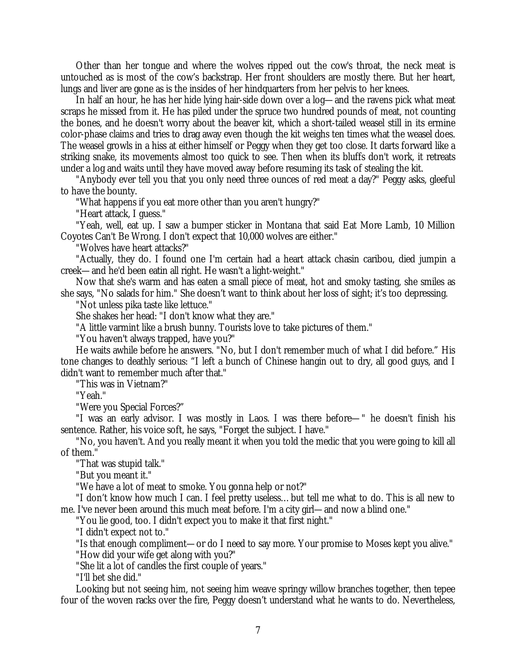Other than her tongue and where the wolves ripped out the cow's throat, the neck meat is untouched as is most of the cow's backstrap. Her front shoulders are mostly there. But her heart, lungs and liver are gone as is the insides of her hindquarters from her pelvis to her knees.

In half an hour, he has her hide lying hair-side down over a log— and the ravens pick what meat scraps he missed from it. He has piled under the spruce two hundred pounds of meat, not counting the bones, and he doesn't worry about the beaver kit, which a short-tailed weasel still in its ermine color-phase claims and tries to drag away even though the kit weighs ten times what the weasel does. The weasel growls in a hiss at either himself or Peggy when they get too close. It darts forward like a striking snake, its movements almost too quick to see. Then when its bluffs don't work, it retreats under a log and waits until they have moved away before resuming its task of stealing the kit.

"Anybody ever tell you that you only need three ounces of red meat a day?" Peggy asks, gleeful to have the bounty.

"What happens if you eat more other than you aren't hungry?"

"Heart attack, I guess."

"Yeah, well, eat up. I saw a bumper sticker in Montana that said Eat More Lamb, 10 Million Coyotes Can't Be Wrong. I don't expect that 10,000 wolves are either."

"Wolves have heart attacks?"

"Actually, they do. I found one I'm certain had a heart attack chasin caribou, died jumpin a creek— and he'd been eatin all right. He wasn't a light-weight."

Now that she's warm and has eaten a small piece of meat, hot and smoky tasting, she smiles as she says, "No salads for him." She doesn't want to think about her loss of sight; it's too depressing.

"Not unless pika taste like lettuce."

She shakes her head: "I don't know what they are."

"A little varmint like a brush bunny. Tourists love to take pictures of them."

"You haven't always trapped, have you?"

He waits awhile before he answers. "No, but I don't remember much of what I did before." His tone changes to deathly serious: "I left a bunch of Chinese hangin out to dry, all good guys, and I didn't want to remember much after that."

"This was in Vietnam?"

"Yeah."

"Were you Special Forces?"

"I was an early advisor. I was mostly in Laos. I was there before— " he doesn't finish his sentence. Rather, his voice soft, he says, "Forget the subject. I have."

"No, you haven't. And you really meant it when you told the medic that you were going to kill all of them."

"That was stupid talk."

"But you meant it."

"We have a lot of meat to smoke. You gonna help or not?"

"I don't know how much I can. I feel pretty useless… but tell me what to do. This is all new to me. I've never been around this much meat before. I'm a city girl— and now a blind one."

"You lie good, too. I didn't expect you to make it that first night."

"I didn't expect not to."

"Is that enough compliment— or do I need to say more. Your promise to Moses kept you alive."

"How did your wife get along with you?"

"She lit a lot of candles the first couple of years."

"I'll bet she did."

Looking but not seeing him, not seeing him weave springy willow branches together, then tepee four of the woven racks over the fire, Peggy doesn't understand what he wants to do. Nevertheless,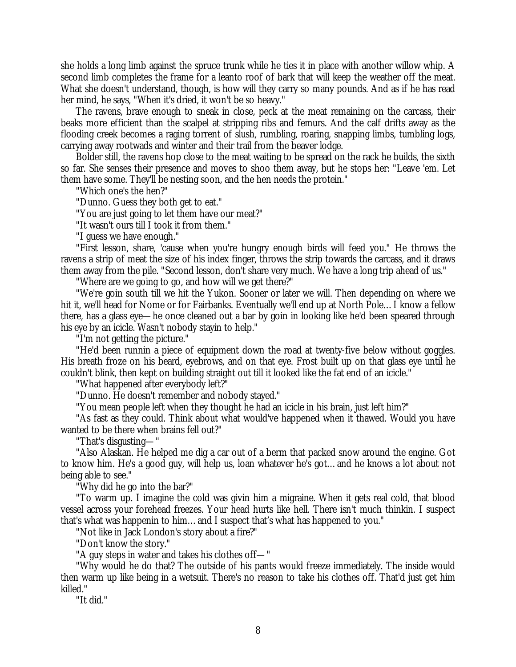she holds a long limb against the spruce trunk while he ties it in place with another willow whip. A second limb completes the frame for a leanto roof of bark that will keep the weather off the meat. What she doesn't understand, though, is how will they carry so many pounds. And as if he has read her mind, he says, "When it's dried, it won't be so heavy."

The ravens, brave enough to sneak in close, peck at the meat remaining on the carcass, their beaks more efficient than the scalpel at stripping ribs and femurs. And the calf drifts away as the flooding creek becomes a raging torrent of slush, rumbling, roaring, snapping limbs, tumbling logs, carrying away rootwads and winter and their trail from the beaver lodge.

Bolder still, the ravens hop close to the meat waiting to be spread on the rack he builds, the sixth so far. She senses their presence and moves to shoo them away, but he stops her: "Leave 'em. Let them have some. They'll be nesting soon, and the hen needs the protein."

"Which one's the hen?"

"Dunno. Guess they both get to eat."

"You are just going to let them have our meat?"

"It wasn't ours till I took it from them."

"I guess we have enough."

"First lesson, share, 'cause when you're hungry enough birds will feed you." He throws the ravens a strip of meat the size of his index finger, throws the strip towards the carcass, and it draws them away from the pile. "Second lesson, don't share very much. We have a long trip ahead of us."

"Where are we going to go, and how will we get there?"

"We're goin south till we hit the Yukon. Sooner or later we will. Then depending on where we hit it, we'll head for Nome or for Fairbanks. Eventually we'll end up at North Pole… I know a fellow there, has a glass eye— he once cleaned out a bar by goin in looking like he'd been speared through his eye by an icicle. Wasn't nobody stayin to help."

"I'm not getting the picture."

"He'd been runnin a piece of equipment down the road at twenty-five below without goggles. His breath froze on his beard, eyebrows, and on that eye. Frost built up on that glass eye until he couldn't blink, then kept on building straight out till it looked like the fat end of an icicle."

"What happened after everybody left?"

"Dunno. He doesn't remember and nobody stayed."

"You mean people left when they thought he had an icicle in his brain, just left him?"

"As fast as they could. Think about what would've happened when it thawed. Would you have wanted to be there when brains fell out?"

"That's disgusting— "

"Also Alaskan. He helped me dig a car out of a berm that packed snow around the engine. Got to know him. He's a good guy, will help us, loan whatever he's got… and he knows a lot about not being able to see."

"Why did he go into the bar?"

"To warm up. I imagine the cold was givin him a migraine. When it gets real cold, that blood vessel across your forehead freezes. Your head hurts like hell. There isn't much thinkin. I suspect that's what was happenin to him… and I suspect that's what has happened to you."

"Not like in Jack London's story about a fire?"

"Don't know the story."

"A guy steps in water and takes his clothes off— "

"Why would he do that? The outside of his pants would freeze immediately. The inside would then warm up like being in a wetsuit. There's no reason to take his clothes off. That'd just get him killed."

"It did."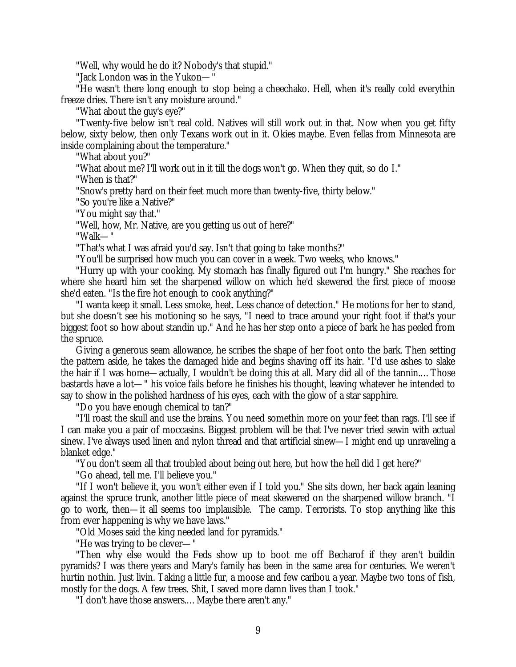"Well, why would he do it? Nobody's that stupid."

"Jack London was in the Yukon— "

"He wasn't there long enough to stop being a cheechako. Hell, when it's really cold everythin freeze dries. There isn't any moisture around."

"What about the guy's eye?"

"Twenty-five below isn't real cold. Natives will still work out in that. Now when you get fifty below, sixty below, then only Texans work out in it. Okies maybe. Even fellas from Minnesota are inside complaining about the temperature."

"What about you?"

"What about me? I'll work out in it till the dogs won't go. When they quit, so do I."

"When is that?"

"Snow's pretty hard on their feet much more than twenty-five, thirty below."

"So you're like a Native?"

"You might say that."

"Well, how, Mr. Native, are you getting us out of here?"

"Walk— "

"That's what I was afraid you'd say. Isn't that going to take months?"

"You'll be surprised how much you can cover in a week. Two weeks, who knows."

"Hurry up with your cooking. My stomach has finally figured out I'm hungry." She reaches for where she heard him set the sharpened willow on which he'd skewered the first piece of moose she'd eaten. "Is the fire hot enough to cook anything?"

"I wanta keep it small. Less smoke, heat. Less chance of detection." He motions for her to stand, but she doesn't see his motioning so he says, "I need to trace around your right foot if that's your biggest foot so how about standin up." And he has her step onto a piece of bark he has peeled from the spruce.

Giving a generous seam allowance, he scribes the shape of her foot onto the bark. Then setting the pattern aside, he takes the damaged hide and begins shaving off its hair. "I'd use ashes to slake the hair if I was home— actually, I wouldn't be doing this at all. Mary did all of the tannin.… Those bastards have a lot— " his voice fails before he finishes his thought, leaving whatever he intended to say to show in the polished hardness of his eyes, each with the glow of a star sapphire.

"Do you have enough chemical to tan?"

"I'll roast the skull and use the brains. You need somethin more on your feet than rags. I'll see if I can make you a pair of moccasins. Biggest problem will be that I've never tried sewin with actual sinew. I've always used linen and nylon thread and that artificial sinew— I might end up unraveling a blanket edge."

"You don't seem all that troubled about being out here, but how the hell did I get here?"

"Go ahead, tell me. I'll believe you."

"If I won't believe it, you won't either even if I told you." She sits down, her back again leaning against the spruce trunk, another little piece of meat skewered on the sharpened willow branch. "I go to work, then— it all seems too implausible. The camp. Terrorists. To stop anything like this from ever happening is why we have laws."

"Old Moses said the king needed land for pyramids."

"He was trying to be clever— "

"Then why else would the Feds show up to boot me off Becharof if they aren't buildin pyramids? I was there years and Mary's family has been in the same area for centuries. We weren't hurtin nothin. Just livin. Taking a little fur, a moose and few caribou a year. Maybe two tons of fish, mostly for the dogs. A few trees. Shit, I saved more damn lives than I took."

"I don't have those answers.… Maybe there aren't any."